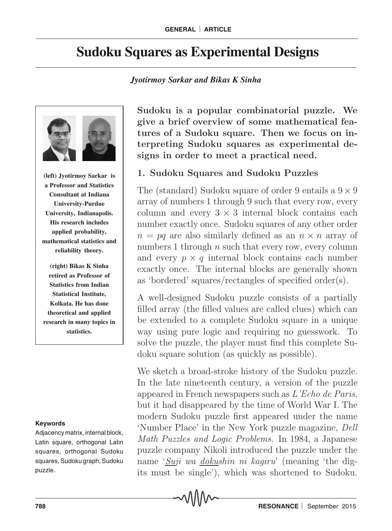# **Sudoku Squares as Experimental Designs**

#### *Jyotirmoy Sarkar and Bikas K Sinha*



**(left) Jyotirmoy Sarkar is a Professor and Statistics Consultant at Indiana University-Purdue University, Indianapolis. His research includes applied probability, mathematical statistics and reliability theory.**

**(right) Bikas K Sinha retired as Professor of Statistics from Indian Statistical Institute, Kolkata. He has done theoretical and applied research in many topics in statistics.**

#### **Keywords**

Adjacency matrix, internal block, Latin square, orthogonal Latin squares, orthogonal Sudoku squares, Sudoku graph, Sudoku puzzle.

Sudoku is a popular combinatorial puzzle. We give a brief overview of some mathematical features of a Sudoku square. Then we focus on interpreting Sudoku squares as experimental designs in order to meet a practical need.

## 1. Sudoku Squares and Sudoku Puzzles

The (standard) Sudoku square of order 9 entails a  $9 \times 9$ array of numbers 1 through 9 such that every row, every column and every  $3 \times 3$  internal block contains each number exactly once. Sudoku squares of any other order  $n = pq$  are also similarly defined as an  $n \times n$  array of numbers 1 through  $n$  such that every row, every column and every  $p \times q$  internal block contains each number exactly once. The internal blocks are generally shown as 'bordered' squares/rectangles of specified order(s).

A well-designed Sudoku puzzle consists of a partially filled array (the filled values are called clues) which can be extended to a complete Sudoku square in a unique way using pure logic and requiring no guesswork. To solve the puzzle, the player must find this complete Sudoku square solution (as quickly as possible).

We sketch a broad-stroke history of the Sudoku puzzle. In the late nineteenth century, a version of the puzzle appeared in French newspapers such as L'Echo de Paris, but it had disappeared by the time of World War I. The modern Sudoku puzzle first appeared under the name 'Number Place' in the New York puzzle magazine, Dell Math Puzzles and Logic Problems. In 1984, a Japanese puzzle company Nikoli introduced the puzzle under the name 'Suji wa dokushin ni kagiru' (meaning 'the digits must be single'), which was shortened to Sudoku.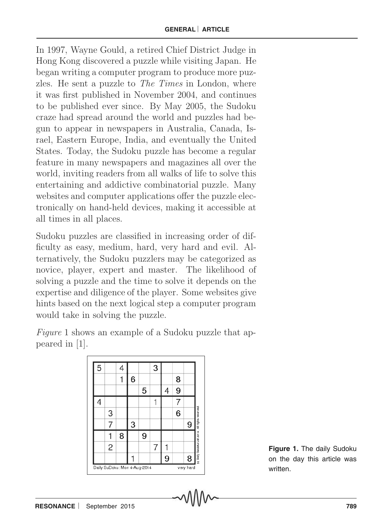In 1997, Wayne Gould, a retired Chief District Judge in Hong Kong discovered a puzzle while visiting Japan. He began writing a computer program to produce more puzzles. He sent a puzzle to The Times in London, where it was first published in November 2004, and continues to be published ever since. By May 2005, the Sudoku craze had spread around the world and puzzles had begun to appear in newspapers in Australia, Canada, Israel, Eastern Europe, India, and eventually the United States. Today, the Sudoku puzzle has become a regular feature in many newspapers and magazines all over the world, inviting readers from all walks of life to solve this entertaining and addictive combinatorial puzzle. Many websites and computer applications offer the puzzle electronically on hand-held devices, making it accessible at all times in all places.

Sudoku puzzles are classified in increasing order of difficulty as easy, medium, hard, very hard and evil. Alternatively, the Sudoku puzzlers may be categorized as novice, player, expert and master. The likelihood of solving a puzzle and the time to solve it depends on the expertise and diligence of the player. Some websites give hints based on the next logical step a computer program would take in solving the puzzle.

Figure 1 shows an example of a Sudoku puzzle that appeared in [1].

| 5                            |                | 4 |   |   | 3 |   |   |           |                                                 |
|------------------------------|----------------|---|---|---|---|---|---|-----------|-------------------------------------------------|
|                              |                |   | 6 |   |   |   | 8 |           |                                                 |
|                              |                |   |   | 5 |   | 4 | 9 |           |                                                 |
| 4                            |                |   |   |   |   |   |   |           |                                                 |
|                              | 3              |   |   |   |   |   | 6 |           |                                                 |
|                              |                |   | 3 |   |   |   |   | 9         |                                                 |
|                              |                | 8 |   | 9 |   |   |   |           |                                                 |
|                              | $\overline{c}$ |   |   |   | 7 |   |   |           |                                                 |
|                              |                |   |   |   |   | 9 |   | 8         | (c) Daily Suddeu Ltd 2014. All rights reserved. |
| Daily SuDoku: Mon 4-Aug-2014 |                |   |   |   |   |   |   | very hard |                                                 |

**Figure 1.** The daily Sudoku on the day this article was written.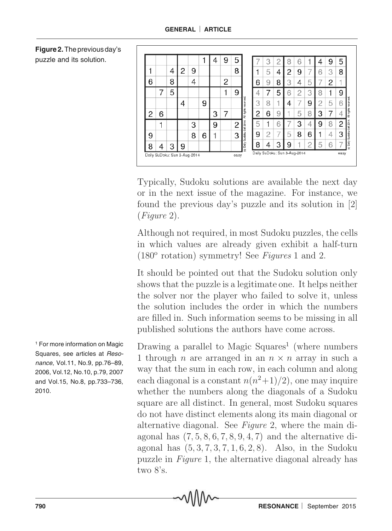|   |                              |   |   |   |   | 4 | 9 | 5    |              |                              |   | 2 | 8 | 6 |   | 4 | 9 | 5    |
|---|------------------------------|---|---|---|---|---|---|------|--------------|------------------------------|---|---|---|---|---|---|---|------|
|   |                              | 4 | 2 | 9 |   |   |   | 8    |              |                              | 5 | 4 | 2 | 9 |   | 6 | 3 | 8    |
| 6 |                              | 8 |   | 4 |   |   | 2 |      |              | 6                            | 9 | 8 | 3 | 4 | 5 |   | 2 |      |
|   |                              | 5 |   |   |   |   |   | 9    |              |                              |   | 5 | 6 | 2 | 3 | 8 |   | 9    |
|   |                              |   | 4 |   | 9 |   |   |      | F<br>ð<br>Ě  | 3                            | 8 | и | 4 |   | 9 | 2 | 5 | 6    |
| 2 | 6                            |   |   |   |   | 3 | 7 |      | All rights r | 2                            | 6 | 9 |   | 5 | 8 | З |   | 4    |
|   |                              |   |   | 3 |   | 9 |   | 2    | $1rd$ 2014   | 5                            |   | 6 |   | 3 | 4 | 9 | 8 | 2    |
| 9 |                              |   |   | 8 | 6 |   |   | 3    | Sudoku       | 9                            | 2 | 7 | 5 | 8 | 6 |   | 4 | 3    |
| 8 | 4                            | 3 | 9 |   |   |   |   |      | (c) Daily    | 8                            |   | 3 | 9 |   | n | 5 | հ |      |
|   | Daily SuDoku: Sun 3-Aug-2014 |   |   |   |   |   |   | easy |              | Daily SuDoku: Sun 3-Aug-2014 |   |   |   |   |   |   |   | easy |

Typically, Sudoku solutions are available the next day or in the next issue of the magazine. For instance, we found the previous day's puzzle and its solution in [2] (Figure 2).

Although not required, in most Sudoku puzzles, the cells in which values are already given exhibit a half-turn (180 $\textdegree$  rotation) symmetry! See Figures 1 and 2.

It should be pointed out that the Sudoku solution only shows that the puzzle is a legitimate one. It helps neither the solver nor the player who failed to solve it, unless the solution includes the order in which the numbers are filled in. Such information seems to be missing in all published solutions the authors have come across.

Drawing a parallel to Magic Squares<sup>1</sup> (where numbers 1 through *n* are arranged in an  $n \times n$  array in such a way that the sum in each row, in each column and along each diagonal is a constant  $n(n^2+1)/2$ , one may inquire whether the numbers along the diagonals of a Sudoku square are all distinct. In general, most Sudoku squares do not have distinct elements along its main diagonal or alternative diagonal. See Figure 2, where the main diagonal has  $(7, 5, 8, 6, 7, 8, 9, 4, 7)$  and the alternative diagonal has  $(5, 3, 7, 3, 7, 1, 6, 2, 8)$ . Also, in the Sudoku puzzle in Figure 1, the alternative diagonal already has two 8's.

**Figure 2.** The previous day's puzzle and its solution.

1 For more information on Magic Squares, see articles at Resonance, Vol.11, No.9, pp.76–89, 2006, Vol.12, No.10, p.79, 2007 and Vol.15, No.8, pp.733–736, 2010.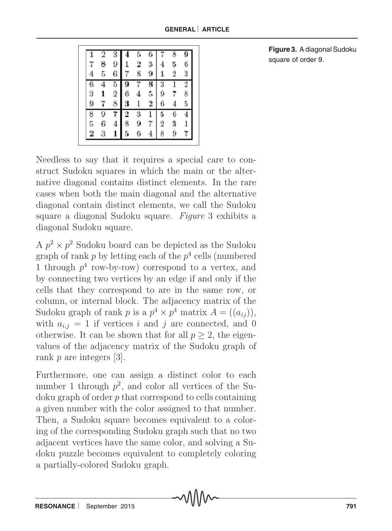|   |   |       |   |   |   |   | R              |                |
|---|---|-------|---|---|---|---|----------------|----------------|
|   | 8 | 9     |   | 2 |   |   | 5              | 6              |
|   | 5 | 6     | 7 | 8 |   |   | $\overline{2}$ | 3              |
|   |   | 5     |   |   |   | 3 |                | $\overline{2}$ |
| 3 |   | $\,2$ | 6 |   | 5 | 9 |                | 8              |
| 9 |   | 8     |   |   | 2 |   |                | 5              |
| 8 | ğ |       |   | 3 |   | 5 | 6              |                |
| 5 | 6 | 4     | 8 |   |   | 2 | 3              |                |
| 2 | 3 |       | 5 |   |   | 8 |                |                |
|   |   |       |   |   |   |   |                |                |

**Figure 3.** A diagonal Sudoku square of order 9.

Needless to say that it requires a special care to construct Sudoku squares in which the main or the alternative diagonal contains distinct elements. In the rare cases when both the main diagonal and the alternative diagonal contain distinct elements, we call the Sudoku square a diagonal Sudoku square. Figure 3 exhibits a diagonal Sudoku square.

A  $p^2 \times p^2$  Sudoku board can be depicted as the Sudoku graph of rank  $p$  by letting each of the  $p^4$  cells (numbered 1 through  $p^4$  row-by-row) correspond to a vertex, and by connecting two vertices by an edge if and only if the cells that they correspond to are in the same row, or column, or internal block. The adjacency matrix of the Sudoku graph of rank p is a  $p^4 \times p^4$  matrix  $A = ((a_{ij}))$ , with  $a_{i,j} = 1$  if vertices i and j are connected, and 0 otherwise. It can be shown that for all  $p \geq 2$ , the eigenvalues of the adjacency matrix of the Sudoku graph of rank p are integers [3].

Furthermore, one can assign a distinct color to each number 1 through  $p^2$ , and color all vertices of the Sudoku graph of order p that correspond to cells containing a given number with the color assigned to that number. Then, a Sudoku square becomes equivalent to a coloring of the corresponding Sudoku graph such that no two adjacent vertices have the same color, and solving a Sudoku puzzle becomes equivalent to completely coloring a partially-colored Sudoku graph.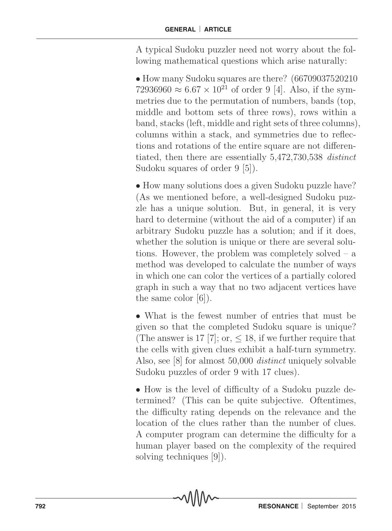A typical Sudoku puzzler need not worry about the following mathematical questions which arise naturally:

• How many Sudoku squares are there? (66709037520210) 72936960 ≈  $6.67 \times 10^{21}$  of order 9 [4]. Also, if the symmetries due to the permutation of numbers, bands (top, middle and bottom sets of three rows), rows within a band, stacks (left, middle and right sets of three columns), columns within a stack, and symmetries due to reflections and rotations of the entire square are not differentiated, then there are essentially 5,472,730,538 distinct Sudoku squares of order 9 [5]).

• How many solutions does a given Sudoku puzzle have? (As we mentioned before, a well-designed Sudoku puzzle has a unique solution. But, in general, it is very hard to determine (without the aid of a computer) if an arbitrary Sudoku puzzle has a solution; and if it does, whether the solution is unique or there are several solutions. However, the problem was completely solved – a method was developed to calculate the number of ways in which one can color the vertices of a partially colored graph in such a way that no two adjacent vertices have the same color [6]).

• What is the fewest number of entries that must be given so that the completed Sudoku square is unique? (The answer is 17 [7]; or,  $\leq$  18, if we further require that the cells with given clues exhibit a half-turn symmetry. Also, see [8] for almost 50,000 distinct uniquely solvable Sudoku puzzles of order 9 with 17 clues).

• How is the level of difficulty of a Sudoku puzzle determined? (This can be quite subjective. Oftentimes, the difficulty rating depends on the relevance and the location of the clues rather than the number of clues. A computer program can determine the difficulty for a human player based on the complexity of the required solving techniques [9]).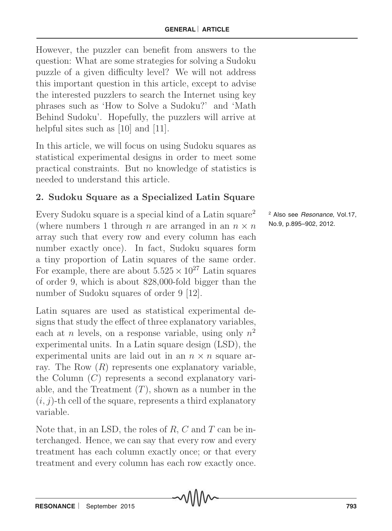However, the puzzler can benefit from answers to the question: What are some strategies for solving a Sudoku puzzle of a given difficulty level? We will not address this important question in this article, except to advise the interested puzzlers to search the Internet using key phrases such as 'How to Solve a Sudoku?' and 'Math Behind Sudoku'. Hopefully, the puzzlers will arrive at helpful sites such as [10] and [11].

In this article, we will focus on using Sudoku squares as statistical experimental designs in order to meet some practical constraints. But no knowledge of statistics is needed to understand this article.

# 2. Sudoku Square as a Specialized Latin Square

Every Sudoku square is a special kind of a Latin square<sup>2</sup> (where numbers 1 through *n* are arranged in an  $n \times n$ array such that every row and every column has each number exactly once). In fact, Sudoku squares form a tiny proportion of Latin squares of the same order. For example, there are about  $5.525 \times 10^{27}$  Latin squares of order 9, which is about 828,000-fold bigger than the number of Sudoku squares of order 9 [12].

Latin squares are used as statistical experimental designs that study the effect of three explanatory variables, each at *n* levels, on a response variable, using only  $n^2$ experimental units. In a Latin square design (LSD), the experimental units are laid out in an  $n \times n$  square array. The Row  $(R)$  represents one explanatory variable, the Column  $(C)$  represents a second explanatory variable, and the Treatment  $(T)$ , shown as a number in the  $(i, j)$ -th cell of the square, represents a third explanatory variable.

Note that, in an LSD, the roles of  $R$ ,  $C$  and  $T$  can be interchanged. Hence, we can say that every row and every treatment has each column exactly once; or that every treatment and every column has each row exactly once.

<sup>2</sup> Also see *Resonance*, Vol.17, No.9, p.895–902, 2012.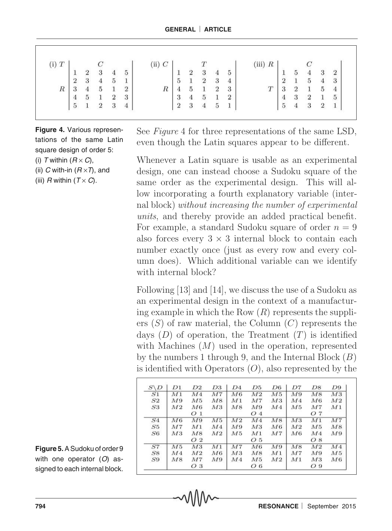| $(i)$ $T$ |                                       |  |                                                                                                | $\left( \text{ii} \right) C$ |                                                                   |  |                                                                                                                      | (iii) $R$ |                                       |                 |             |                  |                                            |
|-----------|---------------------------------------|--|------------------------------------------------------------------------------------------------|------------------------------|-------------------------------------------------------------------|--|----------------------------------------------------------------------------------------------------------------------|-----------|---------------------------------------|-----------------|-------------|------------------|--------------------------------------------|
|           |                                       |  |                                                                                                |                              |                                                                   |  |                                                                                                                      |           |                                       | $\,$ 5 $\,$     | $4 \quad 3$ |                  |                                            |
|           | $\frac{1}{2}$                         |  |                                                                                                |                              |                                                                   |  |                                                                                                                      |           | $\frac{1}{2}$                         | $\frac{1}{2}$ 5 |             |                  |                                            |
| $\cal R$  |                                       |  | $\begin{array}{cccc} & C & & & \\ 2 & 3 & 4 & 5 \\ 3 & 4 & 5 & 1 \\ 4 & 5 & 1 & 2 \end{array}$ | $\overline{R}$               |                                                                   |  | $\begin{array}{c cccc} & & & & & & 1\\ \hline 1 & 2 & 3 & 4 & 5\\ 5 & 1 & 2 & 3 & 4\\ 4 & 5 & 1 & 2 & 3 \end{array}$ | T         |                                       |                 | Ŧ           |                  | $\begin{array}{c} 2 \\ 3 \\ 4 \end{array}$ |
|           |                                       |  | $\begin{bmatrix} 5 & 1 & 2 & 3 \\ 1 & 2 & 3 & 4 \end{bmatrix}$                                 |                              |                                                                   |  | $\begin{array}{cc} 4 & 5 & 1 & 2 \\ 3 & 4 & 5 & 1 \end{array}$                                                       |           |                                       |                 |             |                  | $\sqrt{5}$                                 |
|           | $\begin{array}{c} 4 \\ 5 \end{array}$ |  |                                                                                                |                              | $\begin{array}{ c c } \hline 3 \\ \hline 2 \\ \hline \end{array}$ |  |                                                                                                                      |           | $\begin{array}{c} 4 \\ 5 \end{array}$ | $\bf{4}$        | $\sqrt{3}$  | $\boldsymbol{2}$ | $\mathbf{1}$                               |

**Figure 4.** Various representations of the same Latin square design of order 5:

- (i) T within  $(R \times C)$ ,
- (ii) C with-in  $(R \times T)$ , and
- (iii)  $R$  within  $(T \times C)$ .

See *Figure* 4 for three representations of the same LSD, even though the Latin squares appear to be different.

Whenever a Latin square is usable as an experimental design, one can instead choose a Sudoku square of the same order as the experimental design. This will allow incorporating a fourth explanatory variable (internal block) without increasing the number of experimental units, and thereby provide an added practical benefit. For example, a standard Sudoku square of order  $n = 9$ also forces every  $3 \times 3$  internal block to contain each number exactly once (just as every row and every column does). Which additional variable can we identify with internal block?

Following [13] and [14], we discuss the use of a Sudoku as an experimental design in the context of a manufacturing example in which the Row  $(R)$  represents the suppliers  $(S)$  of raw material, the Column  $(C)$  represents the days  $(D)$  of operation, the Treatment  $(T)$  is identified with Machines  $(M)$  used in the operation, represented by the numbers 1 through 9, and the Internal Block  $(B)$ is identified with Operators  $(O)$ , also represented by the

| $S \backslash D$ | D1  | D2             | D3             | D4             | D5             | D6             | D7             | D8             | D9             |
|------------------|-----|----------------|----------------|----------------|----------------|----------------|----------------|----------------|----------------|
| S1               | M1  | M4             | M7             | M6             | M <sub>2</sub> | M5             | M9             | M8             | M3             |
| S2               | M9  | M5             | M8             | M1             | M7             | M3             | M4             | M6             | M <sub>2</sub> |
| S3               | M2  | M6             | M3             | M8             | M9             | M <sub>4</sub> | M5             | M7             | M1             |
|                  |     | O <sub>1</sub> |                |                | O <sub>4</sub> |                |                | O 7            |                |
| S4               | M6  | M9             | M5             | M2             | M <sub>4</sub> | M8             | M3             | M1             | M7             |
| S5               | M7  | M1             | M4             | M9             | M3             | M6             | M <sub>2</sub> | M5             | M8             |
| S6               | M3  | M8             | M <sub>2</sub> | M <sub>5</sub> | M1             | M7             | M6             | M4             | M9             |
|                  |     | O <sub>2</sub> |                |                | O 5            |                |                | O <sub>8</sub> |                |
| S7               | M 5 | M3             | M1             | M7             | M6             | M9             | M8             | M <sub>2</sub> | M4             |
| S8               | M4  | M2             | M6             | M3             | M8             | M1             | M7             | M9             | M5             |
| S9               | M8  | M7             | M9             | M4             | M5             | M <sub>2</sub> | M1             | M3             | M6             |
|                  |     | O 3            |                |                | O6             |                |                | O <sub>9</sub> |                |

**Figure 5.** A Sudoku of order 9 with one operator  $(O)$  assigned to each internal block.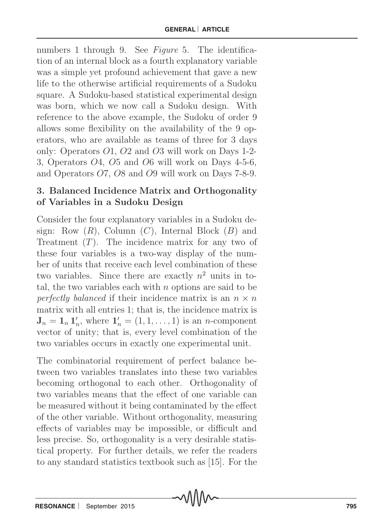numbers 1 through 9. See Figure 5. The identification of an internal block as a fourth explanatory variable was a simple yet profound achievement that gave a new life to the otherwise artificial requirements of a Sudoku square. A Sudoku-based statistical experimental design was born, which we now call a Sudoku design. With reference to the above example, the Sudoku of order 9 allows some flexibility on the availability of the 9 operators, who are available as teams of three for 3 days only: Operators O1, O2 and O3 will work on Days 1-2- 3, Operators O4, O5 and O6 will work on Days 4-5-6, and Operators O7, O8 and O9 will work on Days 7-8-9.

# 3. Balanced Incidence Matrix and Orthogonality of Variables in a Sudoku Design

Consider the four explanatory variables in a Sudoku design: Row  $(R)$ , Column  $(C)$ , Internal Block  $(B)$  and Treatment  $(T)$ . The incidence matrix for any two of these four variables is a two-way display of the number of units that receive each level combination of these two variables. Since there are exactly  $n^2$  units in total, the two variables each with  $n$  options are said to be perfectly balanced if their incidence matrix is an  $n \times n$ matrix with all entries 1; that is, the incidence matrix is  $\mathbf{J}_n = \mathbf{1}_n \, \mathbf{1}'_n$  $n'_n$ , where  $\mathbf{1}'_n = (1, 1, \ldots, 1)$  is an *n*-component vector of unity; that is, every level combination of the two variables occurs in exactly one experimental unit.

The combinatorial requirement of perfect balance between two variables translates into these two variables becoming orthogonal to each other. Orthogonality of two variables means that the effect of one variable can be measured without it being contaminated by the effect of the other variable. Without orthogonality, measuring effects of variables may be impossible, or difficult and less precise. So, orthogonality is a very desirable statistical property. For further details, we refer the readers to any standard statistics textbook such as [15]. For the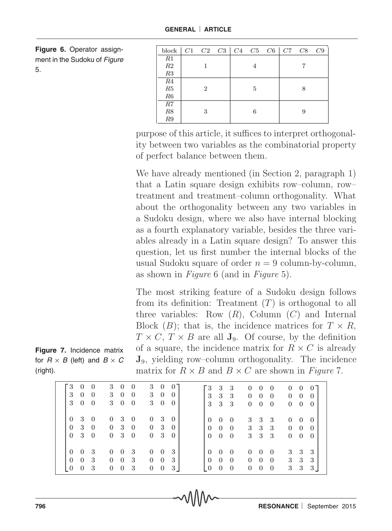**Figure 6.** Operator assignment in the Sudoku of Figure 5.

| block $ C1 \ C2 \ C3 \  C4 \ C5 \ C6 \  C7 \ C8 \ C9$ |   |  |   |  |   |  |
|-------------------------------------------------------|---|--|---|--|---|--|
| R1                                                    |   |  |   |  |   |  |
| $\mathbb{R}2$                                         |   |  |   |  |   |  |
| R3                                                    |   |  |   |  |   |  |
| R4                                                    |   |  |   |  |   |  |
| ${\it R5}$                                            | 2 |  | 5 |  | 8 |  |
| R6                                                    |   |  |   |  |   |  |
| R7                                                    |   |  |   |  |   |  |
| ${\cal R}8$                                           |   |  |   |  | 9 |  |
| R9                                                    |   |  |   |  |   |  |

purpose of this article, it suffices to interpret orthogonality between two variables as the combinatorial property of perfect balance between them.

We have already mentioned (in Section 2, paragraph 1) that a Latin square design exhibits row–column, row– treatment and treatment–column orthogonality. What about the orthogonality between any two variables in a Sudoku design, where we also have internal blocking as a fourth explanatory variable, besides the three variables already in a Latin square design? To answer this question, let us first number the internal blocks of the usual Sudoku square of order  $n = 9$  column-by-column, as shown in Figure 6 (and in Figure 5).

The most striking feature of a Sudoku design follows from its definition: Treatment  $(T)$  is orthogonal to all three variables: Row  $(R)$ , Column  $(C)$  and Internal Block  $(B)$ ; that is, the incidence matrices for  $T \times R$ ,  $T \times C$ ,  $T \times B$  are all  $J_9$ . Of course, by the definition of a square, the incidence matrix for  $R \times C$  is already J9, yielding row–column orthogonality. The incidence matrix for  $R \times B$  and  $B \times C$  are shown in Figure 7.

| `3<br>$\theta$<br>$\overline{0}$<br>3<br>$\overline{0}$<br>$\overline{0}$<br>3<br>$\overline{0}$<br>$\overline{0}$ | 3<br>$\overline{0}$<br>$\theta$<br>3<br>$\bf{0}$<br>$\overline{0}$<br>3<br>$\overline{0}$<br>$\bf{0}$ | 3<br>$\mathbf{0}$<br>$0^-$<br>$\boldsymbol{0}$<br>3<br>$\bf{0}$<br>3<br>$\bf{0}$<br>$\overline{0}$   | Г3<br>3<br>-3<br>0<br>$\overline{0}$<br>$\bf{0}$<br>3<br>3<br>-3<br>0<br>$\overline{0}$<br>$\bf{0}$<br>3<br>3<br>- 3<br>$\overline{0}$<br>0<br>$\bf{0}$                                                                        | 0<br>$\boldsymbol{0}$<br>$\theta$<br>0<br>$\boldsymbol{0}$<br>$\theta$<br>$\overline{0}$<br>0<br>$\theta$ |
|--------------------------------------------------------------------------------------------------------------------|-------------------------------------------------------------------------------------------------------|------------------------------------------------------------------------------------------------------|--------------------------------------------------------------------------------------------------------------------------------------------------------------------------------------------------------------------------------|-----------------------------------------------------------------------------------------------------------|
| $\theta$<br>3<br>-0<br>3<br>0<br>$\overline{0}$<br>-3<br>$\overline{0}$<br>$\overline{0}$                          | -3<br>0<br>$\theta$<br>3<br>$\overline{0}$<br>0<br>-3<br>0<br>$\overline{0}$                          | 3<br>$\mathbf{0}$<br>$\bf{0}$<br>3<br>0<br>$\overline{0}$<br>3<br>0<br>$\overline{0}$                | 3<br>-3<br>-3<br>$\Omega$<br>$\overline{0}$<br>- 0<br>-3<br>3<br>-3<br>$\bf{0}$<br>$\overline{0}$<br>$\overline{0}$<br>3 <sub>3</sub><br>-3<br>$\overline{0}$<br>$\overline{0}$<br>$\overline{0}$                              | 0<br>$\bf{0}$<br>0<br>0<br>$\bf{0}$<br>0<br>$\bf{0}$<br>0<br>$\theta$                                     |
| $\theta$<br>-3<br>0<br>$\overline{0}$<br>0<br>-3<br>$\overline{0}$<br>-3<br>$\overline{0}$                         | 3<br>0<br>- 0<br>3<br>$\overline{0}$<br>0<br>3<br>$\overline{0}$<br>$\overline{0}$                    | 3<br>$\overline{0}$<br>$\overline{0}$<br>$\overline{0}$<br>0<br>3<br>$\bf{0}$<br>3 <sup>1</sup><br>0 | $\Omega$<br>0<br>$\bf{0}$<br>-0<br>- 0<br>$\theta$<br>0<br>$\overline{0}$<br>$\overline{0}$<br>$\overline{0}$<br>0<br>$\overline{0}$<br>$\overline{0}$<br>$\cdot$ 0<br>$\overline{0}$<br>$\overline{0}$<br>0<br>$\overline{0}$ | 3<br>3<br>3<br>3<br>3<br>3<br>3<br>3<br>3                                                                 |

**Figure 7.** Incidence matrix for  $R \times B$  (left) and  $B \times C$ (right).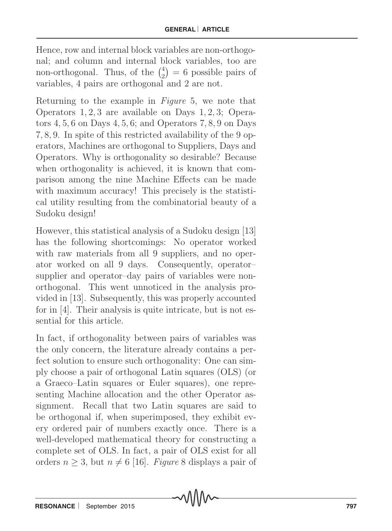Hence, row and internal block variables are non-orthogonal; and column and internal block variables, too are non-orthogonal. Thus, of the  $\binom{4}{2}$  $\binom{4}{2}$  = 6 possible pairs of variables, 4 pairs are orthogonal and 2 are not.

Returning to the example in Figure 5, we note that Operators 1, 2, 3 are available on Days 1, 2, 3; Operators  $4, 5, 6$  on Days  $4, 5, 6$ ; and Operators  $7, 8, 9$  on Days 7, 8, 9. In spite of this restricted availability of the 9 operators, Machines are orthogonal to Suppliers, Days and Operators. Why is orthogonality so desirable? Because when orthogonality is achieved, it is known that comparison among the nine Machine Effects can be made with maximum accuracy! This precisely is the statistical utility resulting from the combinatorial beauty of a Sudoku design!

However, this statistical analysis of a Sudoku design [13] has the following shortcomings: No operator worked with raw materials from all 9 suppliers, and no operator worked on all 9 days. Consequently, operator– supplier and operator–day pairs of variables were nonorthogonal. This went unnoticed in the analysis provided in [13]. Subsequently, this was properly accounted for in [4]. Their analysis is quite intricate, but is not essential for this article.

In fact, if orthogonality between pairs of variables was the only concern, the literature already contains a perfect solution to ensure such orthogonality: One can simply choose a pair of orthogonal Latin squares (OLS) (or a Graeco–Latin squares or Euler squares), one representing Machine allocation and the other Operator assignment. Recall that two Latin squares are said to be orthogonal if, when superimposed, they exhibit every ordered pair of numbers exactly once. There is a well-developed mathematical theory for constructing a complete set of OLS. In fact, a pair of OLS exist for all orders  $n \geq 3$ , but  $n \neq 6$  [16]. *Figure* 8 displays a pair of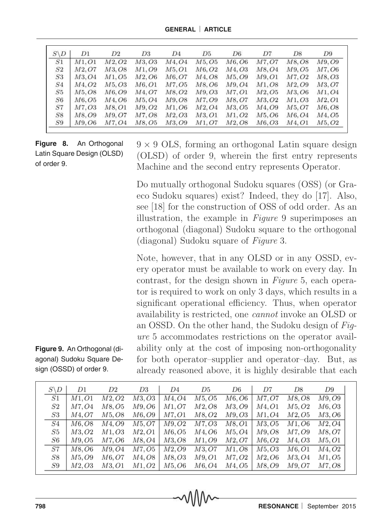| $S\backslash D$ | D1    | D <sub>2</sub> | D <sub>3</sub> | D <sub>4</sub> | D5                 | D <sub>6</sub>                  | D7                 | D8                 | D9     |
|-----------------|-------|----------------|----------------|----------------|--------------------|---------------------------------|--------------------|--------------------|--------|
| S1              | M1.01 | M2.02          | M3, O3         | M4.04          | M5, O5             | M6.06                           | M7.O7              | M8.08              | M9.09  |
| S <sub>2</sub>  | M2.O7 | M3.08          | M1.O9          | M5.O1          | M6, O2             | M4.03                           | M8.04              | M9, O5             | M7.O6  |
| S3              | M3.O4 | M1. <i>O</i> 5 | M2, O6         | M6.O7          | M <sub>4</sub> .08 | M5, O9                          | M9, O1             | M7.O2              | M8.O3  |
| S4              | M4.O2 | M5.O3          | M6.O1          | M7, O5         | M8.06              | M9, O4                          | M <sub>1</sub> .08 | M2.O9              | M3.O7  |
| S5              | M5.08 | M6. O9         | M4.O7          | M8.O2          | M9, O3             | M7.O1                           | M2.05              | M3, O6             | M1.O4  |
| S6              | M6.05 | M4.06          | M5.04          | M9.O8          | M7.09              | M8.O7                           | M3.O2              | M1.O3              | M2, O1 |
| S7              | M7.O3 | M8.O1          | M9.O2          | M1.O6          | M2, O4             | M3, O5                          | M4.O9              | M5.O7              | M6, O8 |
| S8              | M8.O9 | M9.07          | M7.O8          | M2.03          | M3, O1             | M1, O2                          | M5.06              | M <sub>6</sub> .04 | M4.O5  |
| S9              | M9.O6 | M7.04          | M8.O5          | M3.O9          | M1.O7              | M <sub>2</sub> , O <sub>8</sub> | M6, O3             | M4, O1             | M5.O2  |

**Figure 8.** An Orthogonal Latin Square Design (OLSD) of order 9.

 $9 \times 9$  OLS, forming an orthogonal Latin square design (OLSD) of order 9, wherein the first entry represents Machine and the second entry represents Operator.

Do mutually orthogonal Sudoku squares (OSS) (or Graeco Sudoku squares) exist? Indeed, they do [17]. Also, see [18] for the construction of OSS of odd order. As an illustration, the example in Figure 9 superimposes an orthogonal (diagonal) Sudoku square to the orthogonal (diagonal) Sudoku square of Figure 3.

Note, however, that in any OLSD or in any OSSD, every operator must be available to work on every day. In contrast, for the design shown in Figure 5, each operator is required to work on only 3 days, which results in a significant operational efficiency. Thus, when operator availability is restricted, one cannot invoke an OLSD or an OSSD. On the other hand, the Sudoku design of Figure 5 accommodates restrictions on the operator availability only at the cost of imposing non-orthogonality for both operator–supplier and operator–day. But, as already reasoned above, it is highly desirable that each

| $S \backslash D$ | D1                     | D2             | D3     | D4             | D5     | D6             | D7                     | D8     | D9     |
|------------------|------------------------|----------------|--------|----------------|--------|----------------|------------------------|--------|--------|
| S1               | M1.O1                  | M2.O2          | M3, O3 | M4.O4          | M5.O5  | M6, O6         | M7.O7                  | M8.08  | M9. O9 |
| $^{S2}$          | M7.O4                  | M8. O5         | M9.O6  | M1.O7          | M2.O8  | M3.O9          | M4, O1                 | M5.O2  | M6.O3  |
| S3               | M4.O7                  | M5.O8          | M6.O9  | <i>M</i> 7.O1  | M8.O2  | M9. <i>O</i> 3 | <i>M</i> 1. <i>O</i> 4 | M2.O5  | M3, O6 |
| S4               | M6.O8                  | M4.O9          | M5.O7  | M9.O2          | M7.O3  | M8, O1         | M3.O5                  | M1.O6  | M2.O4  |
| S5               | M3.O2                  | M1. <i>O</i> 3 | M2.O1  | M6.O5          | M4.O6  | M5.O4          | M9.O8                  | M7.O9  | M8.O7  |
| S6               | M9.O5                  | M7.O6          | M8.O4  | M3.O8          | M1.O9  | M2.O7          | M6.O2                  | M4.O3  | M5.O1  |
| S7               | M8.O6                  | M9. O4         | M7, O5 | M2, O9         | M3.O7  | M1, O8         | M5, O3                 | M6, O1 | M4.O2  |
| S8               | <i>M</i> 5. <i>O</i> 9 | M6. O7         | M4.O8  | M8.O3          | M9.O1  | M7.O2          | M2.O6                  | M3.O4  | M1.O5  |
| S9               | M2.O3                  | M3.O1          | M1.O2  | M5. <i>O</i> 6 | M6. O4 | M4.O5          | M8.O9                  | M9.O7  | M7.O8  |

### **Figure 9.** An Orthogonal (diagonal) Sudoku Square Design (OSSD) of order 9.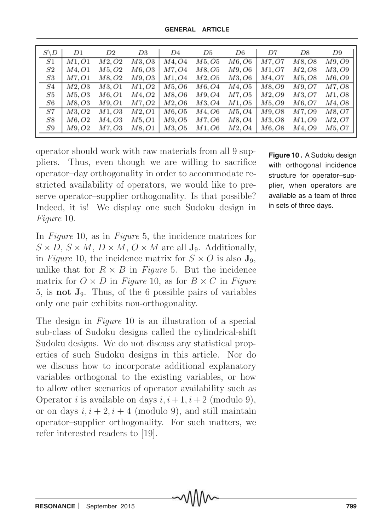| $S \backslash D$ | D1    | D2             | D3     | D4             | D5     | D6             | D7                     | D8     | D9     |
|------------------|-------|----------------|--------|----------------|--------|----------------|------------------------|--------|--------|
|                  |       |                |        |                |        |                |                        |        |        |
| S1               | M1.O1 | M2.O2          | M3, O3 | M4.O4          | M5, O5 | M6. O6         | M7, O7                 | M8, O8 | M9.O9  |
| S2               | M4.O1 | M5.O2          | M6, O3 | <i>M7.O4</i>   | M8, O5 | M9. <i>O</i> 6 | M1.O7                  | M2.O8  | M3.O9  |
| $^{S3}$          | M7.O1 | M8.O2          | M9.O3  | M1.O4          | M2, O5 | M3. O6         | M4.O7                  | M5, O8 | M6, O9 |
| S4               | M2.O3 | M3.O1          | M1.O2  | M5.O6          | M6.O4  | M4.O5          | M8.O9                  | M9.O7  | M7.O8  |
| S5               | M5.O3 | M6.O1          | M4.O2  | M8.O6          | M9.O4  | M7, O5         | <i>M</i> 2. <i>O</i> 9 | M3, O7 | M1.O8  |
| S6               | M8.O3 | M9. O1         | M7.O2  | M2. <i>O</i> 6 | M3.O4  | M1. <i>O</i> 5 | M5.O9                  | M6.O7  | M4, O8 |
| S7               | M3.O2 | M1. <i>O</i> 3 | M2, O1 | M6.O5          | M4.O6  | M5.O4          | M9.O8                  | M7.O9  | M8, O7 |
| S8               | M6.O2 | M4.O3          | M5.O1  | M9. <i>O</i> 5 | M7.O6  | M8.O4          | M3.O8                  | M1.O9  | M2.O7  |
| S9               | M9.O2 | M7.O3          | M8.O1  | M3.O5          | M1.O6  | M2.O4          | M6.O8                  | M4.O9  | M5, O7 |

operator should work with raw materials from all 9 suppliers. Thus, even though we are willing to sacrifice operator–day orthogonality in order to accommodate restricted availability of operators, we would like to preserve operator–supplier orthogonality. Is that possible? Indeed, it is! We display one such Sudoku design in Figure 10.

In Figure 10, as in Figure 5, the incidence matrices for  $S \times D$ ,  $S \times M$ ,  $D \times M$ ,  $O \times M$  are all  $J_9$ . Additionally, in Figure 10, the incidence matrix for  $S \times O$  is also  $J_9$ , unlike that for  $R \times B$  in Figure 5. But the incidence matrix for  $O \times D$  in Figure 10, as for  $B \times C$  in Figure 5, is not J9. Thus, of the 6 possible pairs of variables only one pair exhibits non-orthogonality.

The design in *Figure* 10 is an illustration of a special sub-class of Sudoku designs called the cylindrical-shift Sudoku designs. We do not discuss any statistical properties of such Sudoku designs in this article. Nor do we discuss how to incorporate additional explanatory variables orthogonal to the existing variables, or how to allow other scenarios of operator availability such as Operator *i* is available on days  $i, i+1, i+2$  (modulo 9), or on days  $i, i + 2, i + 4$  (modulo 9), and still maintain operator–supplier orthogonality. For such matters, we refer interested readers to [19].

**Figure 10 .** A Sudoku design with orthogonal incidence structure for operator–supplier, when operators are available as a team of three in sets of three days.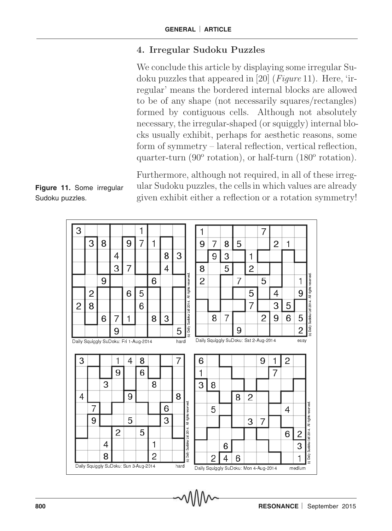# 4. Irregular Sudoku Puzzles

We conclude this article by displaying some irregular Sudoku puzzles that appeared in [20] ( $Figure 11$ ). Here, 'irregular' means the bordered internal blocks are allowed to be of any shape (not necessarily squares/rectangles) formed by contiguous cells. Although not absolutely necessary, the irregular-shaped (or squiggly) internal blocks usually exhibit, perhaps for aesthetic reasons, some form of symmetry – lateral reflection, vertical reflection, quarter-turn (90° rotation), or half-turn (180° rotation).

Furthermore, although not required, in all of these irregular Sudoku puzzles, the cells in which values are already given exhibit either a reflection or a rotation symmetry!

**Figure 11.** Some irregular Sudoku puzzles.

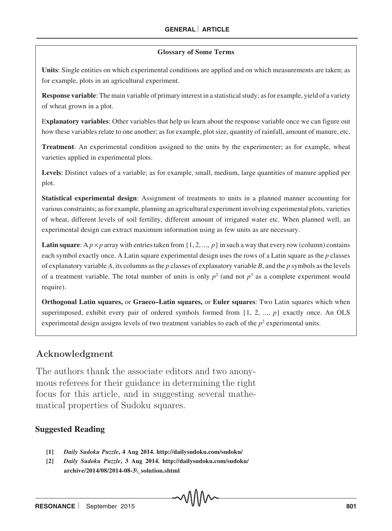#### **Glossary of Some Terms**

**Units**: Single entities on which experimental conditions are applied and on which measurements are taken; as for example, plots in an agricultural experiment.

**Response variable**: The main variable of primary interest in a statistical study; as for example, yield of a variety of wheat grown in a plot.

E**xplanatory variables**: Other variables that help us learn about the response variable once we can figure out how these variables relate to one another; as for example, plot size, quantity of rainfall, amount of manure, etc.

**Treatment**: An experimental condition assigned to the units by the experimenter; as for example, wheat varieties applied in experimental plots.

**Levels**: Distinct values of a variable; as for example, small, medium, large quantities of manure applied per plot.

**Statistical experimental design**: Assignment of treatments to units in a planned manner accounting for various constraints; as for example, planning an agricultural experiment involving experimental plots, varieties of wheat, different levels of soil fertility, different amount of irrigated water etc. When planned well, an experimental design can extract maximum information using as few units as are necessary.

**Latin square**: A  $p \times p$  array with entries taken from {1, 2, ...,  $p$ } in such a way that every row (column) contains each symbol exactly once. A Latin square experimental design uses the rows of a Latin square as the *p* classes of explanatory variable *A*, its columns as the *p* classes of explanatory variable *B*, and the *p* symbols as the levels of a treatment variable. The total number of units is only  $p^2$  (and not  $p^3$  as a complete experiment would require).

**Orthogonal Latin squares,** or **Graeco–Latin squares,** or **Euler squares**: Two Latin squares which when superimposed, exhibit every pair of ordered symbols formed from  $\{1, 2, ..., p\}$  exactly once. An OLS experimental design assigns levels of two treatment variables to each of the *p* 2 experimental units.

### Acknowledgment

The authors thank the associate editors and two anonymous referees for their guidance in determining the right focus for this article, and in suggesting several mathematical properties of Sudoku squares.

#### **Suggested Reading**

- **[1]** *Daily Sudoku Puzzle***, 4 Aug 2014. http://dailysudoku.com/sudoku/**
- **[2]** *Daily Sudoku Puzzle***, 3 Aug 2014. http://dailysudoku.com/sudoku/ archive/2014/08/2014-08-3\\_solution.shtml**